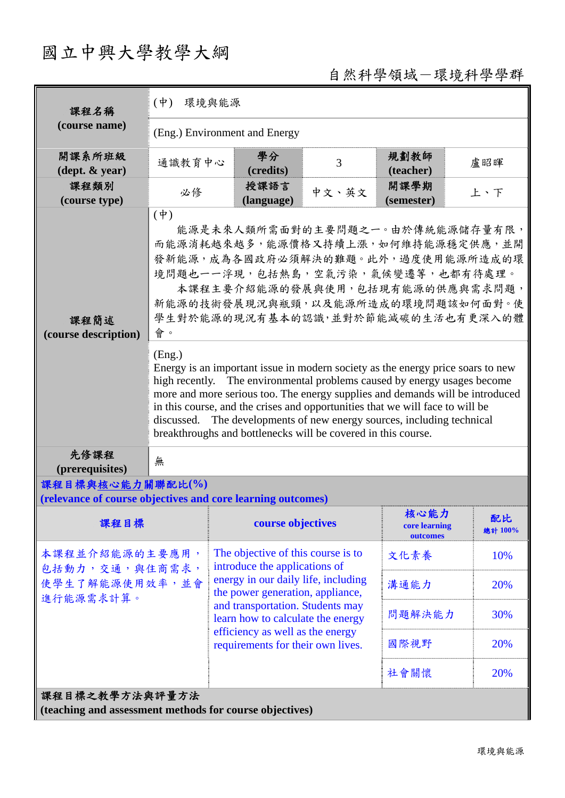## 國立中興大學教學大綱

## 自然科學領域-環境科學學群

| 課程名稱                                                                            | 環境與能源<br>$(\Psi)$                                                                                                                                                                                                                                                                                                                                                                                                                                                                  |                                                                                                                                                                                                                           |                                                                     |       |                                   |               |  |  |  |  |  |
|---------------------------------------------------------------------------------|------------------------------------------------------------------------------------------------------------------------------------------------------------------------------------------------------------------------------------------------------------------------------------------------------------------------------------------------------------------------------------------------------------------------------------------------------------------------------------|---------------------------------------------------------------------------------------------------------------------------------------------------------------------------------------------------------------------------|---------------------------------------------------------------------|-------|-----------------------------------|---------------|--|--|--|--|--|
| (course name)                                                                   | (Eng.) Environment and Energy                                                                                                                                                                                                                                                                                                                                                                                                                                                      |                                                                                                                                                                                                                           |                                                                     |       |                                   |               |  |  |  |  |  |
| 開課系所班級<br>$(\text{dept.} \& \text{ year})$                                      | 通識教育中心                                                                                                                                                                                                                                                                                                                                                                                                                                                                             |                                                                                                                                                                                                                           | 學分<br>(credits)                                                     | 3     | 規劃教師<br>(teacher)                 | 盧昭暉           |  |  |  |  |  |
| 課程類別<br>(course type)                                                           | 必修                                                                                                                                                                                                                                                                                                                                                                                                                                                                                 |                                                                                                                                                                                                                           | 授課語言<br>(language)                                                  | 中文、英文 | 開課學期<br>(semester)                | 上、下           |  |  |  |  |  |
| 課程簡述<br>(course description)                                                    | $(\phi)$<br>能源是未來人類所需面對的主要問題之一。由於傳統能源儲存量有限,<br>而能源消耗越來越多,能源價格又持續上漲,如何維持能源穩定供應,並開<br>發新能源,成為各國政府必須解決的難題。此外,過度使用能源所造成的環<br>境問題也一一浮現,包括熱島,空氣污染,氣候變遷等,也都有待處理。<br>本課程主要介紹能源的發展與使用,包括現有能源的供應與需求問題,<br>新能源的技術發展現況與瓶頸,以及能源所造成的環境問題該如何面對。使<br>學生對於能源的現況有基本的認識,並對於節能減碳的生活也有更深入的體<br>會。                                                                                                                                                                                                       |                                                                                                                                                                                                                           |                                                                     |       |                                   |               |  |  |  |  |  |
|                                                                                 | (Eng.)<br>Energy is an important issue in modern society as the energy price soars to new<br>high recently. The environmental problems caused by energy usages become<br>more and more serious too. The energy supplies and demands will be introduced<br>in this course, and the crises and opportunities that we will face to will be<br>discussed. The developments of new energy sources, including technical<br>breakthroughs and bottlenecks will be covered in this course. |                                                                                                                                                                                                                           |                                                                     |       |                                   |               |  |  |  |  |  |
| 先修課程<br>(prerequisites)                                                         | 無                                                                                                                                                                                                                                                                                                                                                                                                                                                                                  |                                                                                                                                                                                                                           |                                                                     |       |                                   |               |  |  |  |  |  |
| 課程目標與核心能力關聯配比(%)<br>(relevance of course objectives and core learning outcomes) |                                                                                                                                                                                                                                                                                                                                                                                                                                                                                    |                                                                                                                                                                                                                           |                                                                     |       |                                   |               |  |  |  |  |  |
| 課程目標                                                                            |                                                                                                                                                                                                                                                                                                                                                                                                                                                                                    |                                                                                                                                                                                                                           | course objectives                                                   |       | 核心能力<br>core learning<br>outcomes | 配比<br>總計 100% |  |  |  |  |  |
| 本課程並介紹能源的主要應用,<br>包括動力,交通,與住商需求,<br>使學生了解能源使用效率,並會<br>進行能源需求計算。                 |                                                                                                                                                                                                                                                                                                                                                                                                                                                                                    |                                                                                                                                                                                                                           | The objective of this course is to<br>introduce the applications of |       | 文化素養                              | 10%           |  |  |  |  |  |
|                                                                                 |                                                                                                                                                                                                                                                                                                                                                                                                                                                                                    | energy in our daily life, including<br>the power generation, appliance,<br>and transportation. Students may<br>learn how to calculate the energy<br>efficiency as well as the energy<br>requirements for their own lives. |                                                                     |       | 溝通能力                              | 20%           |  |  |  |  |  |
|                                                                                 |                                                                                                                                                                                                                                                                                                                                                                                                                                                                                    |                                                                                                                                                                                                                           |                                                                     |       | 問題解決能力                            | 30%           |  |  |  |  |  |
|                                                                                 |                                                                                                                                                                                                                                                                                                                                                                                                                                                                                    |                                                                                                                                                                                                                           |                                                                     |       | 國際視野                              | 20%           |  |  |  |  |  |
|                                                                                 |                                                                                                                                                                                                                                                                                                                                                                                                                                                                                    |                                                                                                                                                                                                                           |                                                                     |       | 社會關懷                              | 20%           |  |  |  |  |  |
| 課程目標之教學方法與評量方法<br>(teaching and assessment methods for course objectives)       |                                                                                                                                                                                                                                                                                                                                                                                                                                                                                    |                                                                                                                                                                                                                           |                                                                     |       |                                   |               |  |  |  |  |  |